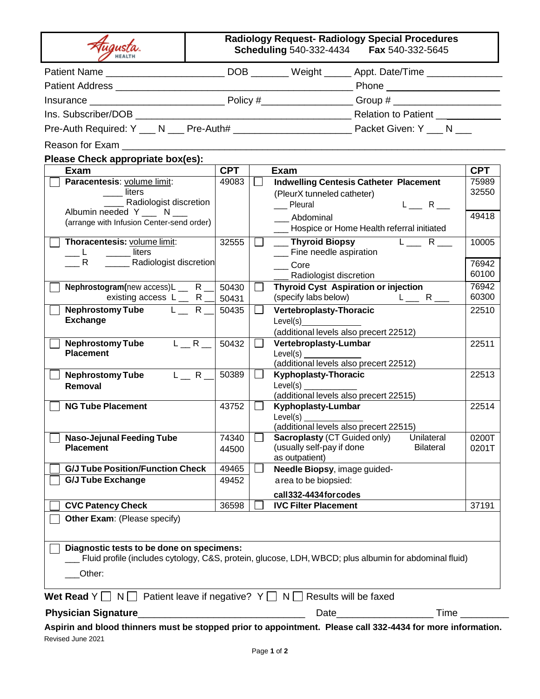|                                                                                                       |            |         | Patient Name ______________________________DOB _________ Weight ______ Appt. Date/Time _____________  |
|-------------------------------------------------------------------------------------------------------|------------|---------|-------------------------------------------------------------------------------------------------------|
|                                                                                                       |            |         |                                                                                                       |
|                                                                                                       |            |         |                                                                                                       |
|                                                                                                       |            |         | Relation to Patient ___________                                                                       |
|                                                                                                       |            |         |                                                                                                       |
| Reason for Exam                                                                                       |            |         |                                                                                                       |
| Please Check appropriate box(es):                                                                     |            |         |                                                                                                       |
| Exam                                                                                                  | <b>CPT</b> |         | Exam                                                                                                  |
| Paracentesis: volume limit:                                                                           | 49083      | $\Box$  | <b>Indwelling Centesis Catheter Placement</b>                                                         |
| liters                                                                                                |            |         | (PleurX tunneled catheter)                                                                            |
| Radiologist discretion                                                                                |            |         | $L_{--}$ R $_{--}$<br>__ Pleural                                                                      |
| Albumin needed Y ___ N ___                                                                            |            |         | Abdominal                                                                                             |
| (arrange with Infusion Center-send order)                                                             |            |         | ___ Hospice or Home Health referral initiated                                                         |
| Thoracentesis: volume limit:                                                                          | 32555      |         | $L_{\frac{1}{2}}$ R $_{\frac{1}{2}}$<br>__ Thyroid Biopsy                                             |
| liters                                                                                                |            |         | __ Fine needle aspiration                                                                             |
| Radiologist discretion                                                                                |            |         | Core                                                                                                  |
|                                                                                                       |            |         | ___ Radiologist discretion                                                                            |
| Nephrostogram(new access)L _ R _                                                                      | 50430      | $\Box$  | <b>Thyroid Cyst Aspiration or injection</b>                                                           |
| existing access $L_R$ R _                                                                             | 50431      |         | $L_{\frac{m}{2}}$ R $_{\frac{m}{2}}$<br>(specify labs below)                                          |
| Nephrostomy Tube L_R_                                                                                 | 50435      | $\Box$  | <b>Vertebroplasty-Thoracic</b>                                                                        |
| <b>Exchange</b>                                                                                       |            |         | Level(s)                                                                                              |
| $L_R$<br><b>Nephrostomy Tube</b>                                                                      | 50432      | $\perp$ | (additional levels also precert 22512)<br>Vertebroplasty-Lumbar                                       |
| <b>Placement</b>                                                                                      |            |         | Level(s)                                                                                              |
|                                                                                                       |            |         | (additional levels also precert 22512)                                                                |
| $L_R$ R<br><b>Nephrostomy Tube</b>                                                                    | 50389      |         | <b>Kyphoplasty-Thoracic</b>                                                                           |
| Removal                                                                                               |            |         | Level(s)                                                                                              |
| <b>NG Tube Placement</b>                                                                              |            |         | (additional levels also precert 22515)                                                                |
|                                                                                                       | 43752      |         | Kyphoplasty-Lumbar<br>Level(s)                                                                        |
|                                                                                                       |            |         | (additional levels also precert 22515)                                                                |
| <b>Naso-Jejunal Feeding Tube</b>                                                                      | 74340      |         | Sacroplasty (CT Guided only)<br>Unilateral                                                            |
| <b>Placement</b>                                                                                      | 44500      |         | (usually self-pay if done<br><b>Bilateral</b>                                                         |
|                                                                                                       |            |         | as outpatient)                                                                                        |
| <b>G/J Tube Position/Function Check</b>                                                               | 49465      |         | Needle Biopsy, image guided-                                                                          |
| <b>G/J Tube Exchange</b>                                                                              | 49452      |         | a rea to be biopsied:                                                                                 |
|                                                                                                       |            |         | call332-4434 for codes                                                                                |
| <b>CVC Patency Check</b>                                                                              | 36598      |         | <b>IVC Filter Placement</b>                                                                           |
| Other Exam: (Please specify)                                                                          |            |         |                                                                                                       |
|                                                                                                       |            |         |                                                                                                       |
| Diagnostic tests to be done on specimens:                                                             |            |         |                                                                                                       |
|                                                                                                       |            |         | Fluid profile (includes cytology, C&S, protein, glucose, LDH, WBCD; plus albumin for abdominal fluid) |
| Other:                                                                                                |            |         |                                                                                                       |
|                                                                                                       |            |         |                                                                                                       |
| Wet Read $Y \square N \square$ Patient leave if negative? $Y \square N \square$ Results will be faxed |            |         |                                                                                                       |
|                                                                                                       |            |         | Time                                                                                                  |